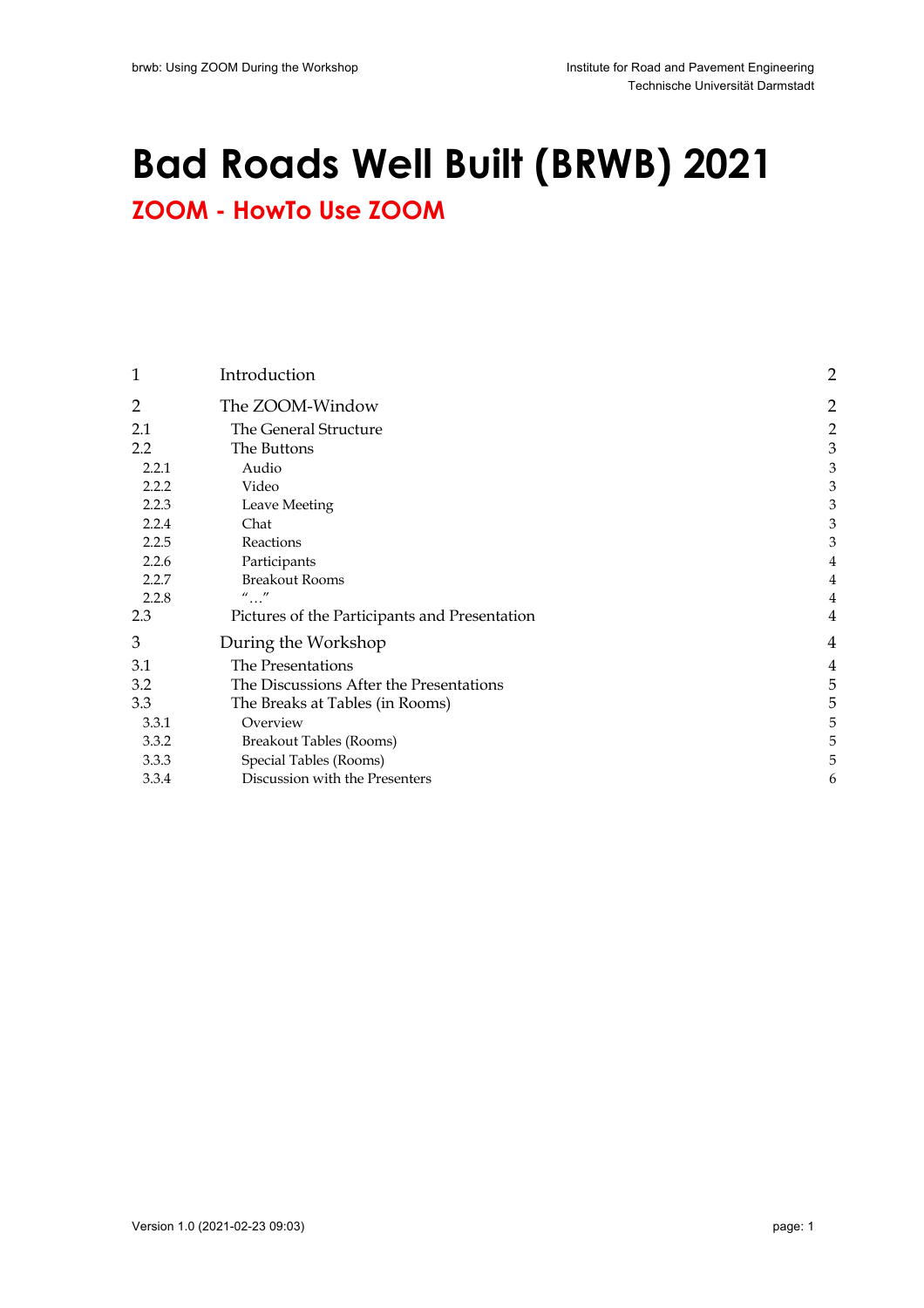# **Bad Roads Well Built (BRWB) 2021**

**ZOOM - HowTo Use ZOOM**

| $\overline{2}$<br>The ZOOM-Window<br>The General Structure<br>2.1<br>2.2<br>The Buttons | $\overline{2}$<br>$\overline{c}$<br>3 |
|-----------------------------------------------------------------------------------------|---------------------------------------|
|                                                                                         |                                       |
|                                                                                         |                                       |
|                                                                                         |                                       |
| Audio<br>2.2.1                                                                          | 3                                     |
| 2.2.2<br>Video                                                                          | 3                                     |
| 2.2.3<br>Leave Meeting                                                                  | 3                                     |
| Chat<br>2.2.4                                                                           | 3                                     |
| 2.2.5<br>Reactions                                                                      | 3                                     |
| 2.2.6<br>Participants                                                                   | 4                                     |
| <b>Breakout Rooms</b><br>2.2.7                                                          | 4                                     |
| $^{\prime\prime}$ "<br>2.2.8                                                            | 4                                     |
| 2.3<br>Pictures of the Participants and Presentation                                    | 4                                     |
| 3<br>During the Workshop                                                                | 4                                     |
| The Presentations<br>3.1                                                                | $\overline{\mathbf{r}}$               |
| The Discussions After the Presentations<br>3.2                                          | 5                                     |
| 3.3<br>The Breaks at Tables (in Rooms)                                                  | 5                                     |
| 3.3.1<br>Overview                                                                       | 5                                     |
| 3.3.2<br><b>Breakout Tables (Rooms)</b>                                                 | 5                                     |
| Special Tables (Rooms)<br>3.3.3                                                         | 5                                     |
| Discussion with the Presenters<br>3.3.4                                                 | 6                                     |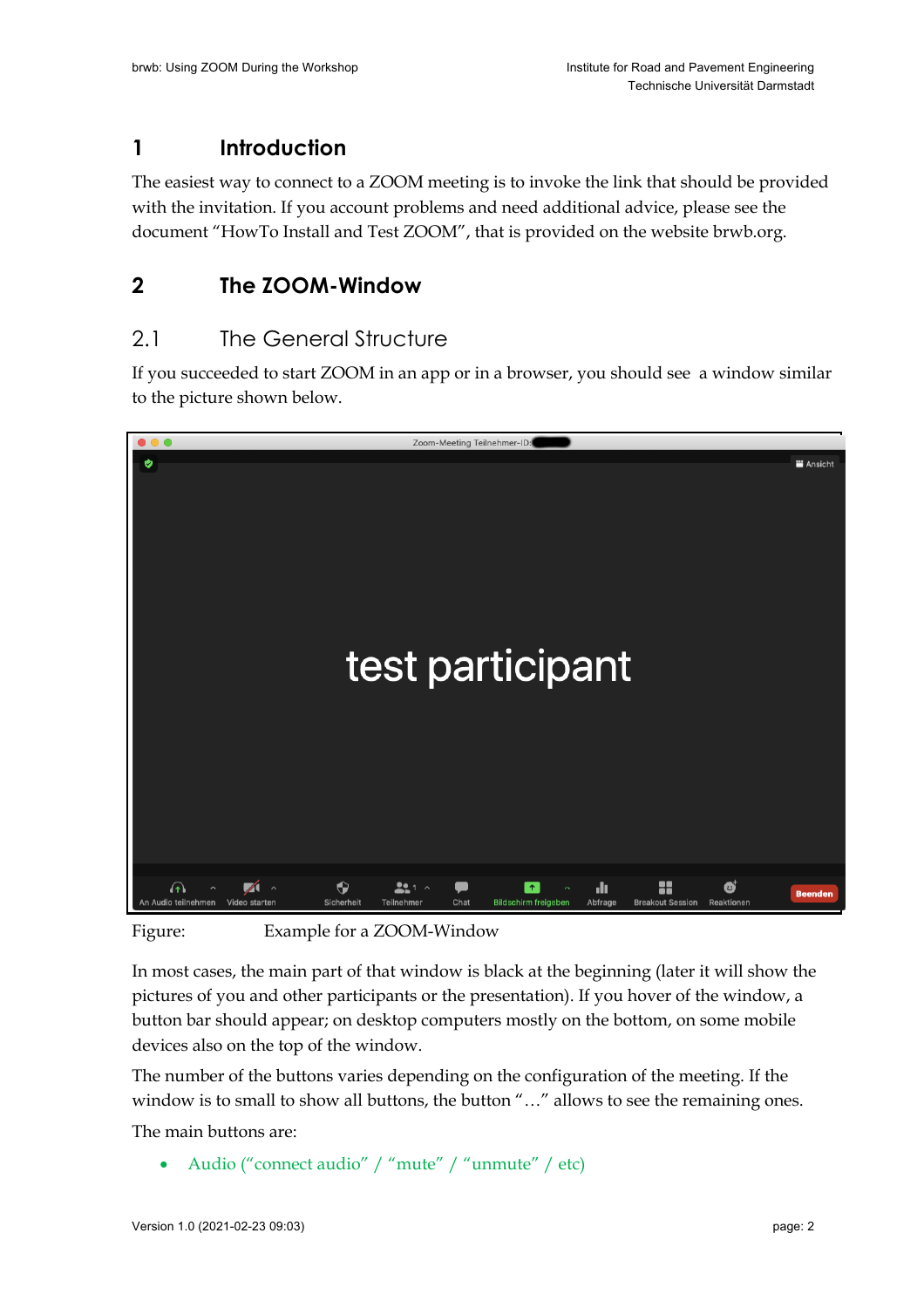# **1 Introduction**

The easiest way to connect to a ZOOM meeting is to invoke the link that should be provided with the invitation. If you account problems and need additional advice, please see the document "HowTo Install and Test ZOOM", that is provided on the website brwb.org.

# **2 The ZOOM-Window**

# 2.1 The General Structure

If you succeeded to start ZOOM in an app or in a browser, you should see a window similar to the picture shown below.



Figure: Example for a ZOOM-Window

In most cases, the main part of that window is black at the beginning (later it will show the pictures of you and other participants or the presentation). If you hover of the window, a button bar should appear; on desktop computers mostly on the bottom, on some mobile devices also on the top of the window.

The number of the buttons varies depending on the configuration of the meeting. If the window is to small to show all buttons, the button "..." allows to see the remaining ones.

The main buttons are:

• Audio ("connect audio" / "mute" / "unmute" / etc)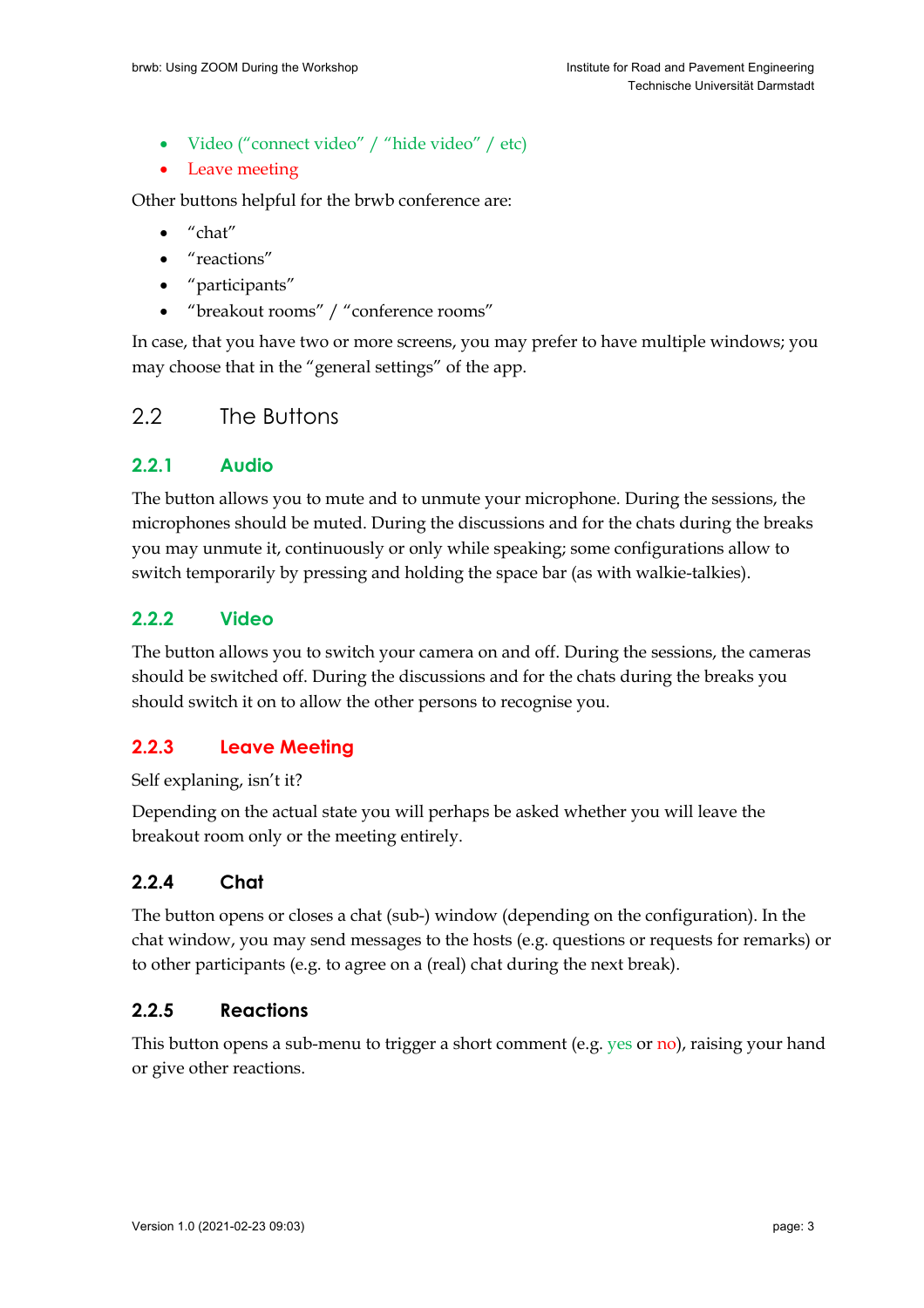- Video ("connect video" / "hide video" / etc)
- Leave meeting

Other buttons helpful for the brwb conference are:

- $^{\prime\prime}$ chat $^{\prime\prime}$
- "reactions"
- "participants"
- "breakout rooms" / "conference rooms"

In case, that you have two or more screens, you may prefer to have multiple windows; you may choose that in the "general settings" of the app.

## 2.2 The Buttons

#### **2.2.1 Audio**

The button allows you to mute and to unmute your microphone. During the sessions, the microphones should be muted. During the discussions and for the chats during the breaks you may unmute it, continuously or only while speaking; some configurations allow to switch temporarily by pressing and holding the space bar (as with walkie-talkies).

#### **2.2.2 Video**

The button allows you to switch your camera on and off. During the sessions, the cameras should be switched off. During the discussions and for the chats during the breaks you should switch it on to allow the other persons to recognise you.

#### **2.2.3 Leave Meeting**

#### Self explaning, isn't it?

Depending on the actual state you will perhaps be asked whether you will leave the breakout room only or the meeting entirely.

#### **2.2.4 Chat**

The button opens or closes a chat (sub-) window (depending on the configuration). In the chat window, you may send messages to the hosts (e.g. questions or requests for remarks) or to other participants (e.g. to agree on a (real) chat during the next break).

#### **2.2.5 Reactions**

This button opens a sub-menu to trigger a short comment (e.g. yes or no), raising your hand or give other reactions.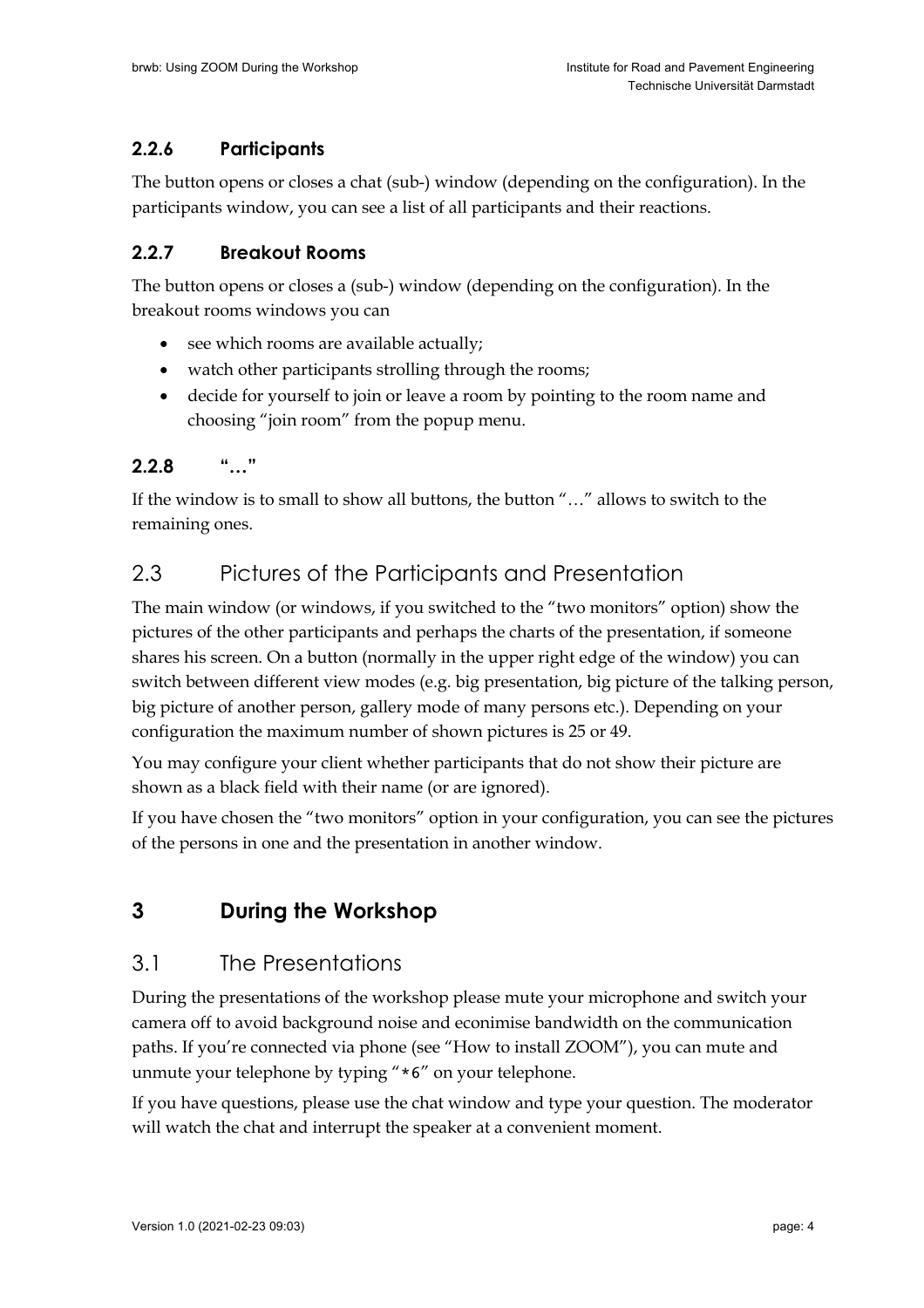## **2.2.6 Participants**

The button opens or closes a chat (sub-) window (depending on the configuration). In the participants window, you can see a list of all participants and their reactions.

#### **2.2.7 Breakout Rooms**

The button opens or closes a (sub-) window (depending on the configuration). In the breakout rooms windows you can

- see which rooms are available actually;
- watch other participants strolling through the rooms;
- decide for yourself to join or leave a room by pointing to the room name and choosing "join room" from the popup menu.

## **2.2.8 "…"**

If the window is to small to show all buttons, the button "…" allows to switch to the remaining ones.

# 2.3 Pictures of the Participants and Presentation

The main window (or windows, if you switched to the "two monitors" option) show the pictures of the other participants and perhaps the charts of the presentation, if someone shares his screen. On a button (normally in the upper right edge of the window) you can switch between different view modes (e.g. big presentation, big picture of the talking person, big picture of another person, gallery mode of many persons etc.). Depending on your configuration the maximum number of shown pictures is 25 or 49.

You may configure your client whether participants that do not show their picture are shown as a black field with their name (or are ignored).

If you have chosen the "two monitors" option in your configuration, you can see the pictures of the persons in one and the presentation in another window.

# **3 During the Workshop**

## 3.1 The Presentations

During the presentations of the workshop please mute your microphone and switch your camera off to avoid background noise and econimise bandwidth on the communication paths. If you're connected via phone (see "How to install ZOOM"), you can mute and unmute your telephone by typing "\*6" on your telephone.

If you have questions, please use the chat window and type your question. The moderator will watch the chat and interrupt the speaker at a convenient moment.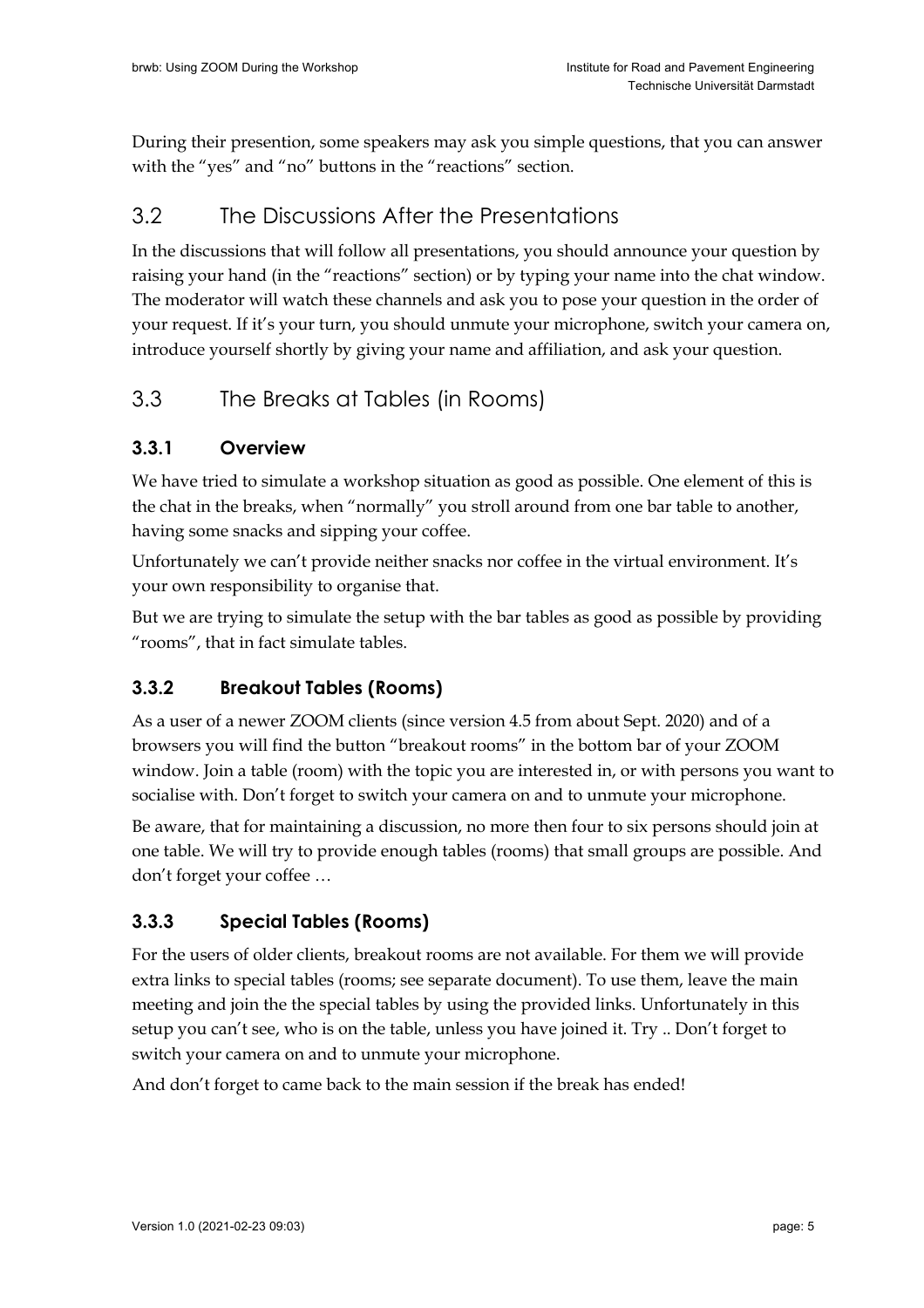During their presention, some speakers may ask you simple questions, that you can answer with the "yes" and "no" buttons in the "reactions" section.

## 3.2 The Discussions After the Presentations

In the discussions that will follow all presentations, you should announce your question by raising your hand (in the "reactions" section) or by typing your name into the chat window. The moderator will watch these channels and ask you to pose your question in the order of your request. If it's your turn, you should unmute your microphone, switch your camera on, introduce yourself shortly by giving your name and affiliation, and ask your question.

# 3.3 The Breaks at Tables (in Rooms)

#### **3.3.1 Overview**

We have tried to simulate a workshop situation as good as possible. One element of this is the chat in the breaks, when "normally" you stroll around from one bar table to another, having some snacks and sipping your coffee.

Unfortunately we can't provide neither snacks nor coffee in the virtual environment. It's your own responsibility to organise that.

But we are trying to simulate the setup with the bar tables as good as possible by providing "rooms", that in fact simulate tables.

## **3.3.2 Breakout Tables (Rooms)**

As a user of a newer ZOOM clients (since version 4.5 from about Sept. 2020) and of a browsers you will find the button "breakout rooms" in the bottom bar of your ZOOM window. Join a table (room) with the topic you are interested in, or with persons you want to socialise with. Don't forget to switch your camera on and to unmute your microphone.

Be aware, that for maintaining a discussion, no more then four to six persons should join at one table. We will try to provide enough tables (rooms) that small groups are possible. And don't forget your coffee …

## **3.3.3 Special Tables (Rooms)**

For the users of older clients, breakout rooms are not available. For them we will provide extra links to special tables (rooms; see separate document). To use them, leave the main meeting and join the the special tables by using the provided links. Unfortunately in this setup you can't see, who is on the table, unless you have joined it. Try .. Don't forget to switch your camera on and to unmute your microphone.

And don't forget to came back to the main session if the break has ended!